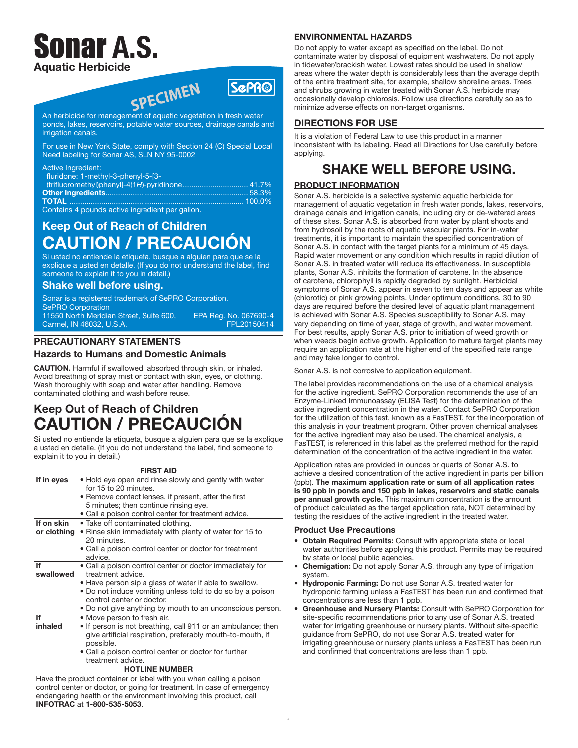# nar A.S. Aquatic Herbicide



An herbicide for management of aquatic vegetation in fresh water ponds, lakes, reservoirs, potable water sources, drainage canals and irrigation canals.

For use in New York State, comply with Section 24 (C) Special Local Need labeling for Sonar AS, SLN NY 95-0002

#### Active Ingredient:

| fluridone: 1-methyl-3-phenyl-5-[3-             |  |
|------------------------------------------------|--|
|                                                |  |
|                                                |  |
|                                                |  |
| Containe A nounde active ingredient per gallon |  |

Contains 4 pounds active ingredient per gallon.

## Keep Out of Reach of Children CAUTION / PRECAUCIÓN

Si usted no entiende la etiqueta, busque a alguien para que se la explique a usted en detalle. (If you do not understand the label, find someone to explain it to you in detail.)

## Shake well before using.

Sonar is a registered trademark of SePRO Corporation. SePRO Corporation 11550 North Meridian Street, Suite 600, EPA Reg. No. 067690-4 Carmel, IN 46032, U.S.A.

## PRECAUTIONARY STATEMENTS

## Hazards to Humans and Domestic Animals

CAUTION. Harmful if swallowed, absorbed through skin, or inhaled. Avoid breathing of spray mist or contact with skin, eyes, or clothing. Wash thoroughly with soap and water after handling. Remove contaminated clothing and wash before reuse.

## Keep Out of Reach of Children CAUTION / PRECAUCIÓN

Si usted no entiende la etiqueta, busque a alguien para que se la explique a usted en detalle. (If you do not understand the label, find someone to explain it to you in detail.)

#### FIRST AID If in eyes • Hold eye open and rinse slowly and gently with water for 15 to 20 minutes. • Remove contact lenses, if present, after the first 5 minutes; then continue rinsing eye. • Call a poison control center for treatment advice. If on skin or clothing • Take off contaminated clothing. • Rinse skin immediately with plenty of water for 15 to 20 minutes. • Call a poison control center or doctor for treatment advice. If swallowed • Call a poison control center or doctor immediately for treatment advice. • Have person sip a glass of water if able to swallow. • Do not induce vomiting unless told to do so by a poison control center or doctor. • Do not give anything by mouth to an unconscious person. If inhaled • Move person to fresh air. • If person is not breathing, call 911 or an ambulance; then give artificial respiration, preferably mouth-to-mouth, if possible. • Call a poison control center or doctor for further treatment advice. HOTLINE NUMBER Have the product container or label with you when calling a poison control center or doctor, or going for treatment. In case of emergency endangering health or the environment involving this product, call INFOTRAC at 1-800-535-5053.

## ENVIRONMENTAL HAZARDS

Do not apply to water except as specified on the label. Do not contaminate water by disposal of equipment washwaters. Do not apply in tidewater/brackish water. Lowest rates should be used in shallow areas where the water depth is considerably less than the average depth of the entire treatment site, for example, shallow shoreline areas. Trees and shrubs growing in water treated with Sonar A.S. herbicide may occasionally develop chlorosis. Follow use directions carefully so as to minimize adverse effects on non-target organisms.

## DIRECTIONS FOR USE

It is a violation of Federal Law to use this product in a manner inconsistent with its labeling. Read all Directions for Use carefully before applying.

## SHAKE WELL BEFORE USING.

## PRODUCT INFORMATION

Sonar A.S. herbicide is a selective systemic aquatic herbicide for management of aquatic vegetation in fresh water ponds, lakes, reservoirs, drainage canals and irrigation canals, including dry or de-watered areas of these sites. Sonar A.S. is absorbed from water by plant shoots and from hydrosoil by the roots of aquatic vascular plants. For in-water treatments, it is important to maintain the specified concentration of Sonar A.S. in contact with the target plants for a minimum of 45 days. Rapid water movement or any condition which results in rapid dilution of Sonar A.S. in treated water will reduce its effectiveness. In susceptible plants, Sonar A.S. inhibits the formation of carotene. In the absence of carotene, chlorophyll is rapidly degraded by sunlight. Herbicidal symptoms of Sonar A.S. appear in seven to ten days and appear as white (chlorotic) or pink growing points. Under optimum conditions, 30 to 90 days are required before the desired level of aquatic plant management is achieved with Sonar A.S. Species susceptibility to Sonar A.S. may vary depending on time of year, stage of growth, and water movement. For best results, apply Sonar A.S. prior to initiation of weed growth or when weeds begin active growth. Application to mature target plants may require an application rate at the higher end of the specified rate range and may take longer to control.

Sonar A.S. is not corrosive to application equipment.

The label provides recommendations on the use of a chemical analysis for the active ingredient. SePRO Corporation recommends the use of an Enzyme-Linked Immunoassay (ELISA Test) for the determination of the active ingredient concentration in the water. Contact SePRO Corporation for the utilization of this test, known as a FasTEST, for the incorporation of this analysis in your treatment program. Other proven chemical analyses for the active ingredient may also be used. The chemical analysis, a FasTEST, is referenced in this label as the preferred method for the rapid determination of the concentration of the active ingredient in the water.

Application rates are provided in ounces or quarts of Sonar A.S. to achieve a desired concentration of the active ingredient in parts per billion (ppb). The maximum application rate or sum of all application rates is 90 ppb in ponds and 150 ppb in lakes, reservoirs and static canals per annual growth cycle. This maximum concentration is the amount of product calculated as the target application rate, NOT determined by testing the residues of the active ingredient in the treated water.

### Product Use Precautions

- Obtain Required Permits: Consult with appropriate state or local water authorities before applying this product. Permits may be required by state or local public agencies.
- **Chemigation:** Do not apply Sonar A.S. through any type of irrigation system.
- Hydroponic Farming: Do not use Sonar A.S. treated water for hydroponic farming unless a FasTEST has been run and confirmed that concentrations are less than 1 ppb.
- Greenhouse and Nursery Plants: Consult with SePRO Corporation for site-specific recommendations prior to any use of Sonar A.S. treated water for irrigating greenhouse or nursery plants. Without site-specific guidance from SePRO, do not use Sonar A.S. treated water for irrigating greenhouse or nursery plants unless a FasTEST has been run and confirmed that concentrations are less than 1 ppb.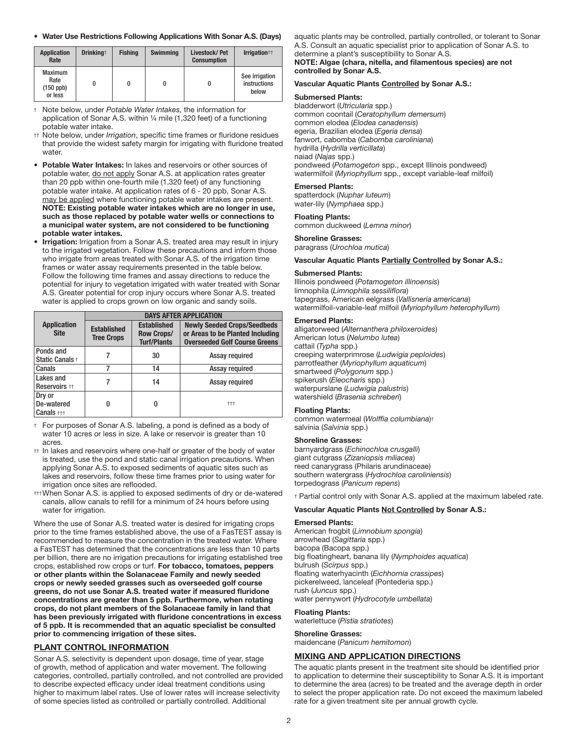#### • Water Use Restrictions Following Applications With Sonar A.S. (Days)

| <b>Application</b><br>Rate                       | Drinking <sup>+</sup> | <b>Fishing</b> | <b>Swimming</b> | Livestock/Pet<br><b>Consumption</b> | Irrigation <sup>++</sup>                |
|--------------------------------------------------|-----------------------|----------------|-----------------|-------------------------------------|-----------------------------------------|
| <b>Maximum</b><br>Rate<br>$(150$ ppb)<br>or less | 0                     |                |                 |                                     | See irrigation<br>instructions<br>below |

† Note below, under *Potable Water Intakes,* the information for application of Sonar A.S. within ¼ mile (1,320 feet) of a functioning potable water intake.

- †† Note below, under *Irrigation*, specific time frames or fluridone residues that provide the widest safety margin for irrigating with fluridone treated water.
- Potable Water Intakes: In lakes and reservoirs or other sources of potable water, do not apply Sonar A.S. at application rates greater than 20 ppb within one-fourth mile (1,320 feet) of any functioning potable water intake. At application rates of 6 - 20 ppb, Sonar A.S. may be applied where functioning potable water intakes are present. NOTE: Existing potable water intakes which are no longer in use, such as those replaced by potable water wells or connections to a municipal water system, are not considered to be functioning potable water intakes.
- **Irrigation:** Irrigation from a Sonar A.S. treated area may result in injury to the irrigated vegetation. Follow these precautions and inform those who irrigate from areas treated with Sonar A.S. of the irrigation time frames or water assay requirements presented in the table below. Follow the following time frames and assay directions to reduce the potential for injury to vegetation irrigated with water treated with Sonar A.S. Greater potential for crop injury occurs where Sonar A.S. treated water is applied to crops grown on low organic and sandy soils.

|                                       | <b>DAYS AFTER APPLICATION</b>           |                                                               |                                                                                                                |  |
|---------------------------------------|-----------------------------------------|---------------------------------------------------------------|----------------------------------------------------------------------------------------------------------------|--|
| <b>Application</b><br><b>Site</b>     | <b>Established</b><br><b>Tree Crops</b> | <b>Established</b><br><b>Row Crops/</b><br><b>Turf/Plants</b> | <b>Newly Seeded Crops/Seedbeds</b><br>or Areas to be Planted Including<br><b>Overseeded Golf Course Greens</b> |  |
| Ponds and<br>Static Canals +          |                                         | 30                                                            | Assay required                                                                                                 |  |
| Canals                                | 7                                       | 14                                                            | Assay required                                                                                                 |  |
| Lakes and<br>Reservoirs <sup>++</sup> |                                         | 14                                                            | Assay required                                                                                                 |  |
| Dry or<br>De-watered<br>Canals $+++$  | 0                                       | 0                                                             | $+++$                                                                                                          |  |

† For purposes of Sonar A.S. labeling, a pond is defined as a body of water 10 acres or less in size. A lake or reservoir is greater than 10 acres.

- †† In lakes and reservoirs where one-half or greater of the body of water is treated, use the pond and static canal irrigation precautions. When applying Sonar A.S. to exposed sediments of aquatic sites such as lakes and reservoirs, follow these time frames prior to using water for irrigation once sites are reflooded.
- ††† When Sonar A.S. is applied to exposed sediments of dry or de-watered canals, allow canals to refill for a minimum of 24 hours before using water for irrigation.

Where the use of Sonar A.S. treated water is desired for irrigating crops prior to the time frames established above, the use of a FasTEST assay is recommended to measure the concentration in the treated water. Where a FasTEST has determined that the concentrations are less than 10 parts per billion, there are no irrigation precautions for irrigating established tree crops, established row crops or turf. For tobacco, tomatoes, peppers or other plants within the Solanaceae Family and newly seeded crops or newly seeded grasses such as overseeded golf course greens, do not use Sonar A.S. treated water if measured fluridone concentrations are greater than 5 ppb. Furthermore, when rotating crops, do not plant members of the Solanaceae family in land that has been previously irrigated with fluridone concentrations in excess of 5 ppb. It is recommended that an aquatic specialist be consulted prior to commencing irrigation of these sites.

#### PLANT CONTROL INFORMATION

Sonar A.S. selectivity is dependent upon dosage, time of year, stage of growth, method of application and water movement. The following categories, controlled, partially controlled, and not controlled are provided to describe expected efficacy under ideal treatment conditions using higher to maximum label rates. Use of lower rates will increase selectivity of some species listed as controlled or partially controlled. Additional

aquatic plants may be controlled, partially controlled, or tolerant to Sonar A.S. Consult an aquatic specialist prior to application of Sonar A.S. to determine a plant's susceptibility to Sonar A.S.

#### NOTE: Algae (chara, nitella, and filamentous species) are not controlled by Sonar A.S.

#### Vascular Aquatic Plants Controlled by Sonar A.S.:

#### Submersed Plants:

bladderwort (*Utricularia* spp.) common coontail (*Ceratophyllum demersum*) common elodea (*Elodea canadensis*) egeria, Brazilian elodea (*Egeria densa*) fanwort, cabomba (*Cabomba caroliniana*) hydrilla (*Hydrilla verticillata*) naiad (*Najas* spp.) pondweed (*Potamogeton* spp., except Illinois pondweed) watermilfoil (*Myriophyllum* spp., except variable-leaf milfoil)

#### Emersed Plants:

spatterdock (*Nuphar luteum*) water-lily (*Nymphaea* spp.)

### Floating Plants:

common duckweed (*Lemna minor*)

#### Shoreline Grasses:

paragrass (*Urochloa mutica*)

#### Vascular Aquatic Plants Partially Controlled by Sonar A.S.:

#### Submersed Plants:

Illinois pondweed (*Potamogeton illinoensis*) limnophila (*Limnophila sessiliflora*) tapegrass, American eelgrass (*Vallisneria americana*) watermilfoil-variable-leaf milfoil (*Myriophyllum heterophyllum*)

#### Emersed Plants:

alligatorweed (*Alternanthera philoxeroides*) American lotus (*Nelumbo lutea*) cattail (*Typha* spp.) creeping waterprimrose (*Ludwigia peploides*) parrotfeather (*Myriophyllum aquaticum*) smartweed (*Polygonum* spp.) spikerush (*Eleocharis* spp.) waterpurslane (*Ludwigia palustris*) watershield (*Brasenia schreberi*)

#### Floating Plants:

common watermeal (*Wolffia columbiana*)† salvinia (*Salvinia* spp.)

#### Shoreline Grasses:

barnyardgrass (*Echinochloa crusgalli*) giant cutgrass (*Zizaniopsis miliacea*) reed canarygrass (Philaris arundinaceae) southern watergrass (*Hydrochloa caroliniensis*) torpedograss (*Panicum repens*)

† Partial control only with Sonar A.S. applied at the maximum labeled rate.

#### Vascular Aquatic Plants Not Controlled by Sonar A.S.:

#### Emersed Plants:

American frogbit (*Limnobium spongia*) arrowhead (*Sagittaria* spp.) bacopa (Bacopa spp.) big floatingheart, banana lily (*Nymphoides aquatica*) bulrush (*Scirpus* spp.) floating waterhyacinth (*Eichhornia crassipes*) pickerelweed, lanceleaf (Pontederia spp.) rush (*Juncus* spp.) water pennywort (*Hydrocotyle umbellata*)

#### Floating Plants:

waterlettuce (*Pistia stratiotes*)

#### Shoreline Grasses:

maidencane (*Panicum hemitomon*)

#### MIXING AND APPLICATION DIRECTIONS

The aquatic plants present in the treatment site should be identified prior to application to determine their susceptibility to Sonar A.S. It is important to determine the area (acres) to be treated and the average depth in order to select the proper application rate. Do not exceed the maximum labeled rate for a given treatment site per annual growth cycle.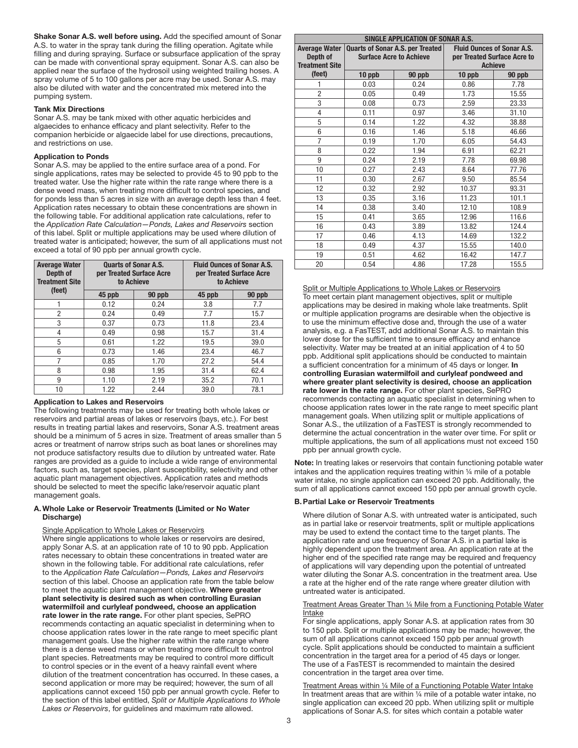Shake Sonar A.S. well before using. Add the specified amount of Sonar A.S. to water in the spray tank during the filling operation. Agitate while filling and during spraying. Surface or subsurface application of the spray can be made with conventional spray equipment. Sonar A.S. can also be applied near the surface of the hydrosoil using weighted trailing hoses. A spray volume of 5 to 100 gallons per acre may be used. Sonar A.S. may also be diluted with water and the concentrated mix metered into the pumping system.

#### Tank Mix Directions

Sonar A.S. may be tank mixed with other aquatic herbicides and algaecides to enhance efficacy and plant selectivity. Refer to the companion herbicide or algaecide label for use directions, precautions, and restrictions on use.

#### Application to Ponds

Sonar A.S. may be applied to the entire surface area of a pond. For single applications, rates may be selected to provide 45 to 90 ppb to the treated water. Use the higher rate within the rate range where there is a dense weed mass, when treating more difficult to control species, and for ponds less than 5 acres in size with an average depth less than 4 feet. Application rates necessary to obtain these concentrations are shown in the following table. For additional application rate calculations, refer to the *Application Rate Calculation—Ponds, Lakes and Reservoirs* section of this label. Split or multiple applications may be used where dilution of treated water is anticipated; however, the sum of all applications must not exceed a total of 90 ppb per annual growth cycle.

| <b>Average Water</b><br>Depth of<br><b>Treatment Site</b> |        | <b>Quarts of Sonar A.S.</b><br>per Treated Surface Acre<br>to Achieve | <b>Fluid Ounces of Sonar A.S.</b><br>per Treated Surface Acre<br>to Achieve |        |  |
|-----------------------------------------------------------|--------|-----------------------------------------------------------------------|-----------------------------------------------------------------------------|--------|--|
| (feet)                                                    | 45 ppb | 90 ppb                                                                | 45 ppb                                                                      | 90 ppb |  |
|                                                           | 0.12   | 0.24                                                                  | 3.8                                                                         | 7.7    |  |
| 2                                                         | 0.24   | 0.49                                                                  | 7.7                                                                         | 15.7   |  |
| 3                                                         | 0.37   | 0.73                                                                  | 11.8                                                                        | 23.4   |  |
| 4                                                         | 0.49   | 0.98                                                                  | 15.7                                                                        | 31.4   |  |
| 5                                                         | 0.61   | 1.22                                                                  | 19.5                                                                        | 39.0   |  |
| 6                                                         | 0.73   | 1.46                                                                  | 23.4                                                                        | 46.7   |  |
| 7                                                         | 0.85   | 1.70                                                                  | 27.2                                                                        | 54.4   |  |
| 8                                                         | 0.98   | 1.95                                                                  | 31.4                                                                        | 62.4   |  |
| 9                                                         | 1.10   | 2.19                                                                  | 35.2                                                                        | 70.1   |  |
| 10                                                        | 1.22   | 2.44                                                                  | 39.0                                                                        | 78.1   |  |

#### Application to Lakes and Reservoirs

The following treatments may be used for treating both whole lakes or reservoirs and partial areas of lakes or reservoirs (bays, etc.). For best results in treating partial lakes and reservoirs, Sonar A.S. treatment areas should be a minimum of 5 acres in size. Treatment of areas smaller than 5 acres or treatment of narrow strips such as boat lanes or shorelines may not produce satisfactory results due to dilution by untreated water. Rate ranges are provided as a guide to include a wide range of environmental factors, such as, target species, plant susceptibility, selectivity and other aquatic plant management objectives. Application rates and methods should be selected to meet the specific lake/reservoir aquatic plant management goals.

#### A. Whole Lake or Reservoir Treatments (Limited or No Water Discharge)

#### Single Application to Whole Lakes or Reservoirs

 Where single applications to whole lakes or reservoirs are desired, apply Sonar A.S. at an application rate of 10 to 90 ppb. Application rates necessary to obtain these concentrations in treated water are shown in the following table. For additional rate calculations, refer to the *Application Rate Calculation—Ponds, Lakes and Reservoirs* section of this label. Choose an application rate from the table below to meet the aquatic plant management objective. Where greater plant selectivity is desired such as when controlling Eurasian watermilfoil and curlyleaf pondweed, choose an application rate lower in the rate range. For other plant species, SePRO recommends contacting an aquatic specialist in determining when to choose application rates lower in the rate range to meet specific plant management goals. Use the higher rate within the rate range where there is a dense weed mass or when treating more difficult to control plant species. Retreatments may be required to control more difficult to control species or in the event of a heavy rainfall event where dilution of the treatment concentration has occurred. In these cases, a second application or more may be required; however, the sum of all applications cannot exceed 150 ppb per annual growth cycle. Refer to the section of this label entitled, *Split or Multiple Applications to Whole Lakes or Reservoirs*, for guidelines and maximum rate allowed.

| SINGLE APPLICATION OF SONAR A.S. |                                                                           |        |                                   |        |  |
|----------------------------------|---------------------------------------------------------------------------|--------|-----------------------------------|--------|--|
| <b>Average Water</b>             | <b>Quarts of Sonar A.S. per Treated</b><br><b>Surface Acre to Achieve</b> |        | <b>Fluid Ounces of Sonar A.S.</b> |        |  |
| Depth of                         |                                                                           |        | per Treated Surface Acre to       |        |  |
| <b>Treatment Site</b>            |                                                                           |        | <b>Achieve</b>                    |        |  |
| (feet)                           | 10 ppb                                                                    | 90 ppb | 10 ppb                            | 90 ppb |  |
| 1                                | 0.03                                                                      | 0.24   | 0.86                              | 7.78   |  |
| $\overline{2}$                   | 0.05                                                                      | 0.49   | 1.73                              | 15.55  |  |
| 3                                | 0.08                                                                      | 0.73   | 2.59                              | 23.33  |  |
| 4                                | 0.11                                                                      | 0.97   | 3.46                              | 31.10  |  |
| 5                                | 0.14                                                                      | 1.22   | 4.32                              | 38.88  |  |
| 6                                | 0.16                                                                      | 1.46   | 5.18                              | 46.66  |  |
| $\overline{7}$                   | 0.19                                                                      | 1.70   | 6.05                              | 54.43  |  |
| 8                                | 0.22                                                                      | 1.94   | 6.91                              | 62.21  |  |
| 9                                | 0.24                                                                      | 2.19   | 7.78                              | 69.98  |  |
| 10                               | 0.27                                                                      | 2.43   | 8.64                              | 77.76  |  |
| 11                               | 0.30                                                                      | 2.67   | 9.50                              | 85.54  |  |
| 12                               | 0.32                                                                      | 2.92   | 10.37                             | 93.31  |  |
| 13                               | 0.35                                                                      | 3.16   | 11.23                             | 101.1  |  |
| 14                               | 0.38                                                                      | 3.40   | 12.10                             | 108.9  |  |
| 15                               | 0.41                                                                      | 3.65   | 12.96                             | 116.6  |  |
| 16                               | 0.43                                                                      | 3.89   | 13.82                             | 124.4  |  |
| 17                               | 0.46                                                                      | 4.13   | 14.69                             | 132.2  |  |
| 18                               | 0.49                                                                      | 4.37   | 15.55                             | 140.0  |  |
| 19                               | 0.51                                                                      | 4.62   | 16.42                             | 147.7  |  |
| 20                               | 0.54                                                                      | 4.86   | 17.28                             | 155.5  |  |

Split or Multiple Applications to Whole Lakes or Reservoirs To meet certain plant management objectives, split or multiple applications may be desired in making whole lake treatments. Split or multiple application programs are desirable when the objective is to use the minimum effective dose and, through the use of a water analysis, e.g. a FasTEST, add additional Sonar A.S. to maintain this lower dose for the sufficient time to ensure efficacy and enhance selectivity. Water may be treated at an initial application of 4 to 50 ppb. Additional split applications should be conducted to maintain a sufficient concentration for a minimum of 45 days or longer. In controlling Eurasian watermilfoil and curlyleaf pondweed and where greater plant selectivity is desired, choose an application rate lower in the rate range. For other plant species, SePRO recommends contacting an aquatic specialist in determining when to choose application rates lower in the rate range to meet specific plant management goals. When utilizing split or multiple applications of Sonar A.S., the utilization of a FasTEST is strongly recommended to determine the actual concentration in the water over time. For split or multiple applications, the sum of all applications must not exceed 150 ppb per annual growth cycle.

Note: In treating lakes or reservoirs that contain functioning potable water intakes and the application requires treating within ¼ mile of a potable water intake, no single application can exceed 20 ppb. Additionally, the sum of all applications cannot exceed 150 ppb per annual growth cycle.

#### B.Partial Lake or Reservoir Treatments

 Where dilution of Sonar A.S. with untreated water is anticipated, such as in partial lake or reservoir treatments, split or multiple applications may be used to extend the contact time to the target plants. The application rate and use frequency of Sonar A.S. in a partial lake is highly dependent upon the treatment area. An application rate at the higher end of the specified rate range may be required and frequency of applications will vary depending upon the potential of untreated water diluting the Sonar A.S. concentration in the treatment area. Use a rate at the higher end of the rate range where greater dilution with untreated water is anticipated.

#### Treatment Areas Greater Than ¼ Mile from a Functioning Potable Water Intake

 For single applications, apply Sonar A.S. at application rates from 30 to 150 ppb. Split or multiple applications may be made; however, the sum of all applications cannot exceed 150 ppb per annual growth cycle. Split applications should be conducted to maintain a sufficient concentration in the target area for a period of 45 days or longer. The use of a FasTEST is recommended to maintain the desired concentration in the target area over time.

Treatment Areas within 1/4 Mile of a Functioning Potable Water Intake In treatment areas that are within ¼ mile of a potable water intake, no single application can exceed 20 ppb. When utilizing split or multiple applications of Sonar A.S. for sites which contain a potable water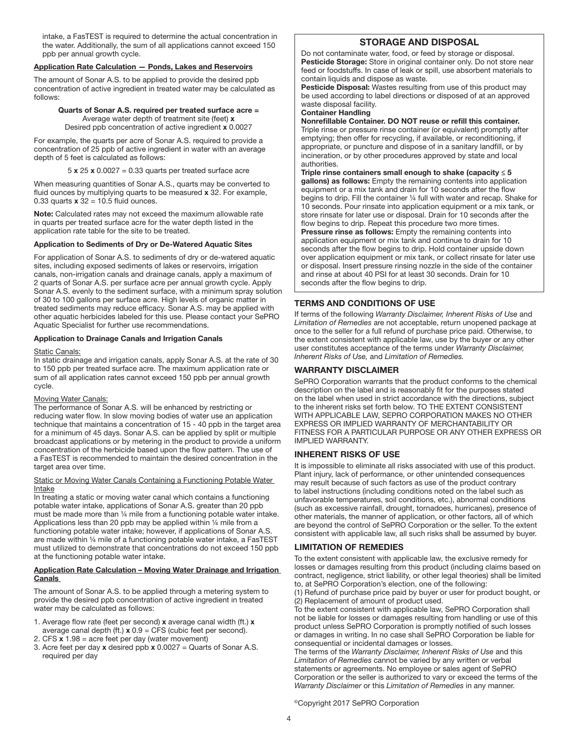intake, a FasTEST is required to determine the actual concentration in the water. Additionally, the sum of all applications cannot exceed 150 ppb per annual growth cycle.

#### Application Rate Calculation — Ponds, Lakes and Reservoirs

The amount of Sonar A.S. to be applied to provide the desired ppb concentration of active ingredient in treated water may be calculated as follows:

## Quarts of Sonar A.S. required per treated surface acre =

Average water depth of treatment site (feet) x Desired ppb concentration of active ingredient x 0.0027

For example, the quarts per acre of Sonar A.S. required to provide a concentration of 25 ppb of active ingredient in water with an average depth of 5 feet is calculated as follows:

 $5 \times 25 \times 0.0027 = 0.33$  quarts per treated surface acre

When measuring quantities of Sonar A.S., quarts may be converted to fluid ounces by multiplying quarts to be measured x 32. For example, 0.33 quarts  $x$  32 = 10.5 fluid ounces.

Note: Calculated rates may not exceed the maximum allowable rate in quarts per treated surface acre for the water depth listed in the application rate table for the site to be treated.

#### Application to Sediments of Dry or De-Watered Aquatic Sites

For application of Sonar A.S. to sediments of dry or de-watered aquatic sites, including exposed sediments of lakes or reservoirs, irrigation canals, non-irrigation canals and drainage canals, apply a maximum of 2 quarts of Sonar A.S. per surface acre per annual growth cycle. Apply Sonar A.S. evenly to the sediment surface, with a minimum spray solution of 30 to 100 gallons per surface acre. High levels of organic matter in treated sediments may reduce efficacy. Sonar A.S. may be applied with other aquatic herbicides labeled for this use. Please contact your SePRO Aquatic Specialist for further use recommendations.

#### Application to Drainage Canals and Irrigation Canals

#### Static Canals:

In static drainage and irrigation canals, apply Sonar A.S. at the rate of 30 to 150 ppb per treated surface acre. The maximum application rate or sum of all application rates cannot exceed 150 ppb per annual growth cycle.

#### Moving Water Canals:

The performance of Sonar A.S. will be enhanced by restricting or reducing water flow. In slow moving bodies of water use an application technique that maintains a concentration of 15 - 40 ppb in the target area for a minimum of 45 days. Sonar A.S. can be applied by split or multiple broadcast applications or by metering in the product to provide a uniform concentration of the herbicide based upon the flow pattern. The use of a FasTEST is recommended to maintain the desired concentration in the target area over time.

#### Static or Moving Water Canals Containing a Functioning Potable Water Intake

In treating a static or moving water canal which contains a functioning potable water intake, applications of Sonar A.S. greater than 20 ppb must be made more than ¼ mile from a functioning potable water intake. Applications less than 20 ppb may be applied within 1/4 mile from a functioning potable water intake; however, if applications of Sonar A.S. are made within ¼ mile of a functioning potable water intake, a FasTEST must utilized to demonstrate that concentrations do not exceed 150 ppb at the functioning potable water intake.

#### Application Rate Calculation – Moving Water Drainage and Irrigation Canals

The amount of Sonar A.S. to be applied through a metering system to provide the desired ppb concentration of active ingredient in treated water may be calculated as follows:

1. Average flow rate (feet per second) x average canal width (ft.) x

- average canal depth (ft.)  $x 0.9 = CFS$  (cubic feet per second).
- 2. CFS  $x$  1.98 = acre feet per day (water movement)
- 3. Acre feet per day  $x$  desired ppb  $x$  0.0027 = Quarts of Sonar A.S. required per day

## STORAGE AND DISPOSAL

Do not contaminate water, food, or feed by storage or disposal. Pesticide Storage: Store in original container only. Do not store near feed or foodstuffs. In case of leak or spill, use absorbent materials to contain liquids and dispose as waste.

Pesticide Disposal: Wastes resulting from use of this product may be used according to label directions or disposed of at an approved waste disposal facility.

#### Container Handling

Nonrefillable Container. DO NOT reuse or refill this container. Triple rinse or pressure rinse container (or equivalent) promptly after emptying; then offer for recycling, if available, or reconditioning, if appropriate, or puncture and dispose of in a sanitary landfill, or by incineration, or by other procedures approved by state and local authorities.

Triple rinse containers small enough to shake (capacity  $\leq 5$ ) gallons) as follows: Empty the remaining contents into application equipment or a mix tank and drain for 10 seconds after the flow begins to drip. Fill the container ¼ full with water and recap. Shake for 10 seconds. Pour rinsate into application equipment or a mix tank, or store rinsate for later use or disposal. Drain for 10 seconds after the flow begins to drip. Repeat this procedure two more times. Pressure rinse as follows: Empty the remaining contents into application equipment or mix tank and continue to drain for 10 seconds after the flow begins to drip. Hold container upside down over application equipment or mix tank, or collect rinsate for later use or disposal. Insert pressure rinsing nozzle in the side of the container and rinse at about 40 PSI for at least 30 seconds. Drain for 10 seconds after the flow begins to drip.

#### TERMS AND CONDITIONS OF USE

If terms of the following *Warranty Disclaimer, Inherent Risks of Use* and *Limitation of Remedies* are not acceptable, return unopened package at once to the seller for a full refund of purchase price paid. Otherwise, to the extent consistent with applicable law, use by the buyer or any other user constitutes acceptance of the terms under *Warranty Disclaimer, Inherent Risks of Use,* and *Limitation of Remedies.*

#### WARRANTY DISCLAIMER

SePRO Corporation warrants that the product conforms to the chemical description on the label and is reasonably fit for the purposes stated on the label when used in strict accordance with the directions, subject to the inherent risks set forth below. TO THE EXTENT CONSISTENT WITH APPLICABLE LAW, SEPRO CORPORATION MAKES NO OTHER EXPRESS OR IMPLIED WARRANTY OF MERCHANTABILITY OR FITNESS FOR A PARTICULAR PURPOSE OR ANY OTHER EXPRESS OR IMPLIED WARRANTY.

#### INHERENT RISKS OF USE

It is impossible to eliminate all risks associated with use of this product. Plant injury, lack of performance, or other unintended consequences may result because of such factors as use of the product contrary to label instructions (including conditions noted on the label such as unfavorable temperatures, soil conditions, etc.), abnormal conditions (such as excessive rainfall, drought, tornadoes, hurricanes), presence of other materials, the manner of application, or other factors, all of which are beyond the control of SePRO Corporation or the seller. To the extent consistent with applicable law, all such risks shall be assumed by buyer.

### LIMITATION OF REMEDIES

To the extent consistent with applicable law, the exclusive remedy for losses or damages resulting from this product (including claims based on contract, negligence, strict liability, or other legal theories) shall be limited to, at SePRO Corporation's election, one of the following:

(1) Refund of purchase price paid by buyer or user for product bought, or (2) Replacement of amount of product used.

To the extent consistent with applicable law, SePRO Corporation shall not be liable for losses or damages resulting from handling or use of this product unless SePRO Corporation is promptly notified of such losses or damages in writing. In no case shall SePRO Corporation be liable for consequential or incidental damages or losses.

The terms of the *Warranty Disclaimer, Inherent Risks of Use* and this *Limitation of Remedies* cannot be varied by any written or verbal statements or agreements. No employee or sales agent of SePRO Corporation or the seller is authorized to vary or exceed the terms of the *Warranty Disclaimer* or this *Limitation of Remedies* in any manner.

©Copyright 2017 SePRO Corporation